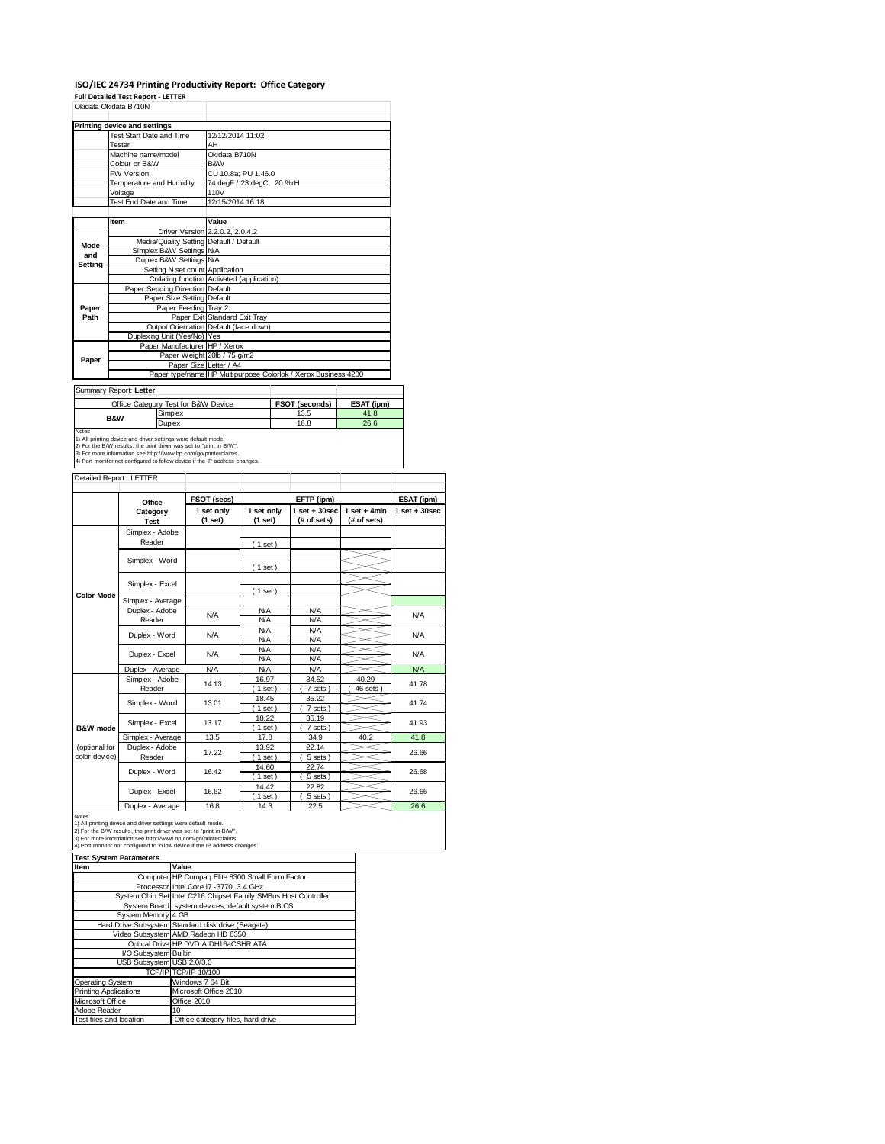## **ISO/IEC 24734 Printing Productivity Report: Office Category**

|                       | ISO/IEC 24734 Printing Productivity Report: Office Category<br><b>Full Detailed Test Report - LETTER</b>                                      |                  |                                                  |                          |                  |                                                                |                                |                   |  |  |
|-----------------------|-----------------------------------------------------------------------------------------------------------------------------------------------|------------------|--------------------------------------------------|--------------------------|------------------|----------------------------------------------------------------|--------------------------------|-------------------|--|--|
|                       | Okidata Okidata B710N                                                                                                                         |                  |                                                  |                          |                  |                                                                |                                |                   |  |  |
|                       | <b>Printing device and settings</b>                                                                                                           |                  |                                                  |                          |                  |                                                                |                                |                   |  |  |
|                       | Test Start Date and Time                                                                                                                      | 12/12/2014 11:02 |                                                  |                          |                  |                                                                |                                |                   |  |  |
|                       | Tester<br>Machine name/model                                                                                                                  |                  | AH                                               | Okidata B710N            |                  |                                                                |                                |                   |  |  |
|                       | Colour or B&W                                                                                                                                 |                  | B&W                                              |                          |                  |                                                                |                                |                   |  |  |
|                       | FW Version<br>Temperature and Humidity                                                                                                        |                  | CU 10.8a; PU 1.46.0<br>74 degF / 23 degC, 20 %rH |                          |                  |                                                                |                                |                   |  |  |
|                       | Voltage                                                                                                                                       | 110V             |                                                  |                          |                  |                                                                |                                |                   |  |  |
|                       | Test End Date and Time                                                                                                                        |                  | 12/15/2014 16:18                                 |                          |                  |                                                                |                                |                   |  |  |
|                       | Item                                                                                                                                          | Value            |                                                  |                          |                  |                                                                |                                |                   |  |  |
|                       |                                                                                                                                               |                  | Driver Version 2.2.0.2, 2.0.4.2                  |                          |                  |                                                                |                                |                   |  |  |
| Mode                  | Media/Quality Setting Default / Default<br>Simplex B&W Settings N/A                                                                           |                  |                                                  |                          |                  |                                                                |                                |                   |  |  |
| and<br><b>Setting</b> | Duplex B&W Settings N/A                                                                                                                       |                  |                                                  |                          |                  |                                                                |                                |                   |  |  |
|                       | Setting N set count Application                                                                                                               |                  |                                                  |                          |                  |                                                                |                                |                   |  |  |
|                       | Collating function Activated (application)<br>Paper Sending Direction Default                                                                 |                  |                                                  |                          |                  |                                                                |                                |                   |  |  |
|                       | Paper Size Setting                                                                                                                            |                  | Default                                          |                          |                  |                                                                |                                |                   |  |  |
| Paper<br>Path         | Paper Feeding Tray 2                                                                                                                          | Paper Exit       | Standard Exit Tray                               |                          |                  |                                                                |                                |                   |  |  |
|                       | Output Orientation Default (face down)                                                                                                        |                  |                                                  |                          |                  |                                                                |                                |                   |  |  |
|                       | Duplexing Unit (Yes/No)                                                                                                                       |                  | Yes                                              |                          |                  |                                                                |                                |                   |  |  |
|                       | Paper Manufacturer HP / Xerox                                                                                                                 |                  | Paper Weight 20lb / 75 g/m2                      |                          |                  |                                                                |                                |                   |  |  |
| Paper                 |                                                                                                                                               |                  | Paper Size Letter / A4                           |                          |                  |                                                                |                                |                   |  |  |
|                       |                                                                                                                                               |                  |                                                  |                          |                  | Paper type/name HP Multipurpose Colorlok / Xerox Business 4200 |                                |                   |  |  |
|                       | Summary Report: Letter                                                                                                                        |                  |                                                  |                          |                  |                                                                |                                |                   |  |  |
|                       | Office Category Test for B&W Device                                                                                                           |                  |                                                  |                          |                  | FSOT (seconds)                                                 | ESAT (ipm)<br>41.8             |                   |  |  |
|                       | Simplex<br><b>B&amp;W</b><br>Duplex                                                                                                           |                  |                                                  |                          |                  | 13.5<br>16.8                                                   | 26.6                           |                   |  |  |
| Notes                 | 1) All printing device and driver settings were default mode.                                                                                 |                  |                                                  |                          |                  |                                                                |                                |                   |  |  |
|                       | 2) For the B/W results, the print driver was set to "print in B/W".                                                                           |                  |                                                  |                          |                  |                                                                |                                |                   |  |  |
|                       | 3) For more information see http://www.hp.com/go/printerclaims.<br>4) Port monitor not configured to follow device if the IP address changes. |                  |                                                  |                          |                  |                                                                |                                |                   |  |  |
|                       | Detailed Report: LETTER                                                                                                                       |                  |                                                  |                          |                  |                                                                |                                |                   |  |  |
|                       |                                                                                                                                               |                  |                                                  |                          |                  |                                                                |                                |                   |  |  |
|                       | Office                                                                                                                                        |                  | FSOT (secs)                                      |                          | EFTP (ipm)       |                                                                |                                | ESAT (ipm)        |  |  |
|                       | Category<br>Test                                                                                                                              |                  | 1 set only<br>(1 set)                            | 1 set only<br>(1 set)    |                  | $1$ set $+30$ sec<br>(# of sets)                               | $1 set + 4 min$<br>(# of sets) | $1$ set $+30$ sec |  |  |
|                       | Simplex - Adobe                                                                                                                               |                  |                                                  |                          |                  |                                                                |                                |                   |  |  |
|                       | Reader                                                                                                                                        |                  |                                                  | (1 set)                  |                  |                                                                |                                |                   |  |  |
|                       | Simplex - Word                                                                                                                                |                  |                                                  |                          |                  |                                                                |                                |                   |  |  |
|                       |                                                                                                                                               |                  |                                                  | (1 set)                  |                  |                                                                |                                |                   |  |  |
|                       | Simplex - Excel                                                                                                                               |                  |                                                  |                          |                  |                                                                |                                |                   |  |  |
| <b>Color Mode</b>     | Simplex - Average                                                                                                                             |                  |                                                  | (1 set)                  |                  |                                                                |                                |                   |  |  |
|                       | Duplex - Adobe                                                                                                                                |                  | <b>N/A</b>                                       | <b>N/A</b>               |                  | <b>N/A</b>                                                     |                                | <b>N/A</b>        |  |  |
|                       | Reader                                                                                                                                        |                  |                                                  | <b>N/A</b><br><b>N/A</b> |                  | <b>N/A</b><br><b>N/A</b>                                       |                                |                   |  |  |
|                       | Duplex - Word                                                                                                                                 | <b>N/A</b>       |                                                  | <b>N/A</b>               |                  | <b>N/A</b>                                                     |                                | <b>N/A</b>        |  |  |
|                       | Duplex - Excel                                                                                                                                | <b>N/A</b>       |                                                  | <b>N/A</b><br>ΝA         |                  | <b>N/A</b>                                                     |                                | <b>N/A</b>        |  |  |
|                       | Duplex - Average                                                                                                                              |                  | <b>N/A</b>                                       | <b>N/A</b>               | ΝA<br><b>N/A</b> |                                                                |                                | <b>N/A</b>        |  |  |
|                       | Simplex - Adobe                                                                                                                               |                  | 14.13                                            | 16.97                    |                  | 34.52                                                          | 40.29                          | 41.78             |  |  |
|                       | Reader                                                                                                                                        |                  |                                                  | $1$ set)<br>18.45        |                  | 7 sets)<br>35.22                                               | 46 sets)                       |                   |  |  |
|                       | Simplex - Word                                                                                                                                |                  | 13.01                                            | $1$ set)                 |                  | 7 sets                                                         |                                | 41.74             |  |  |
|                       | Simplex - Excel                                                                                                                               |                  | 13.17                                            | 18.22                    |                  | 35.19                                                          |                                | 41.93             |  |  |
| <b>B&amp;W</b> mode   | Simplex - Average                                                                                                                             |                  | 13.5                                             | $1$ set)<br>17.8         |                  | 7 sets)<br>34.9                                                | 40.2                           | 41.8              |  |  |
| (optional for         | Duplex - Adobe                                                                                                                                |                  | 17.22                                            | 13.92                    |                  | 22.14                                                          |                                | 26.66             |  |  |
| color device)         | Reader                                                                                                                                        |                  |                                                  | 1 set<br>14.60           |                  | 5 sets<br>22.74                                                |                                |                   |  |  |
|                       | Duplex - Word                                                                                                                                 |                  | 16.42                                            | $1$ set)                 |                  | 5 sets                                                         |                                | 26.68             |  |  |
|                       |                                                                                                                                               |                  |                                                  | 14.42                    |                  | 22.82                                                          |                                | 26.66             |  |  |
|                       |                                                                                                                                               | 16.62            |                                                  |                          |                  |                                                                |                                |                   |  |  |
|                       | Duplex - Excel                                                                                                                                |                  |                                                  | $1$ set                  |                  | 5 sets                                                         |                                |                   |  |  |
| Notes                 | Duplex - Average                                                                                                                              |                  | 16.8                                             | 14.3                     |                  | 22.5                                                           |                                | 26.6              |  |  |
|                       | 1) All printing device and driver settings were default mode.<br>2) For the B/W results, the print driver was set to "print in B/W".          |                  |                                                  |                          |                  |                                                                |                                |                   |  |  |
|                       | 3) For more information see http://www.hp.com/go/printerclaims.                                                                               |                  |                                                  |                          |                  |                                                                |                                |                   |  |  |
|                       | 4) Port monitor not configured to follow device if the IP address changes.<br><b>Test System Parameters</b>                                   |                  |                                                  |                          |                  |                                                                |                                |                   |  |  |

| rest System Parameters       |                                                                 |
|------------------------------|-----------------------------------------------------------------|
| Item                         | Value                                                           |
|                              | Computer HP Compaq Elite 8300 Small Form Factor                 |
|                              | Processor Intel Core i7 -3770, 3.4 GHz                          |
|                              | System Chip Set Intel C216 Chipset Family SMBus Host Controller |
|                              | System Board system devices, default system BIOS                |
| System Memory 4 GB           |                                                                 |
|                              | Hard Drive Subsystem Standard disk drive (Seagate)              |
|                              | Video Subsystem AMD Radeon HD 6350                              |
|                              | Optical Drive HP DVD A DH16aCSHR ATA                            |
| I/O Subsystem Builtin        |                                                                 |
| USB Subsystem USB 2.0/3.0    |                                                                 |
|                              | TCP/IP TCP/IP 10/100                                            |
| Operating System             | Windows 7 64 Bit                                                |
| <b>Printing Applications</b> | Microsoft Office 2010                                           |
| Microsoft Office             | Office 2010                                                     |
| Adobe Reader                 | 10                                                              |
|                              |                                                                 |

Test files and location Office category files, hard drive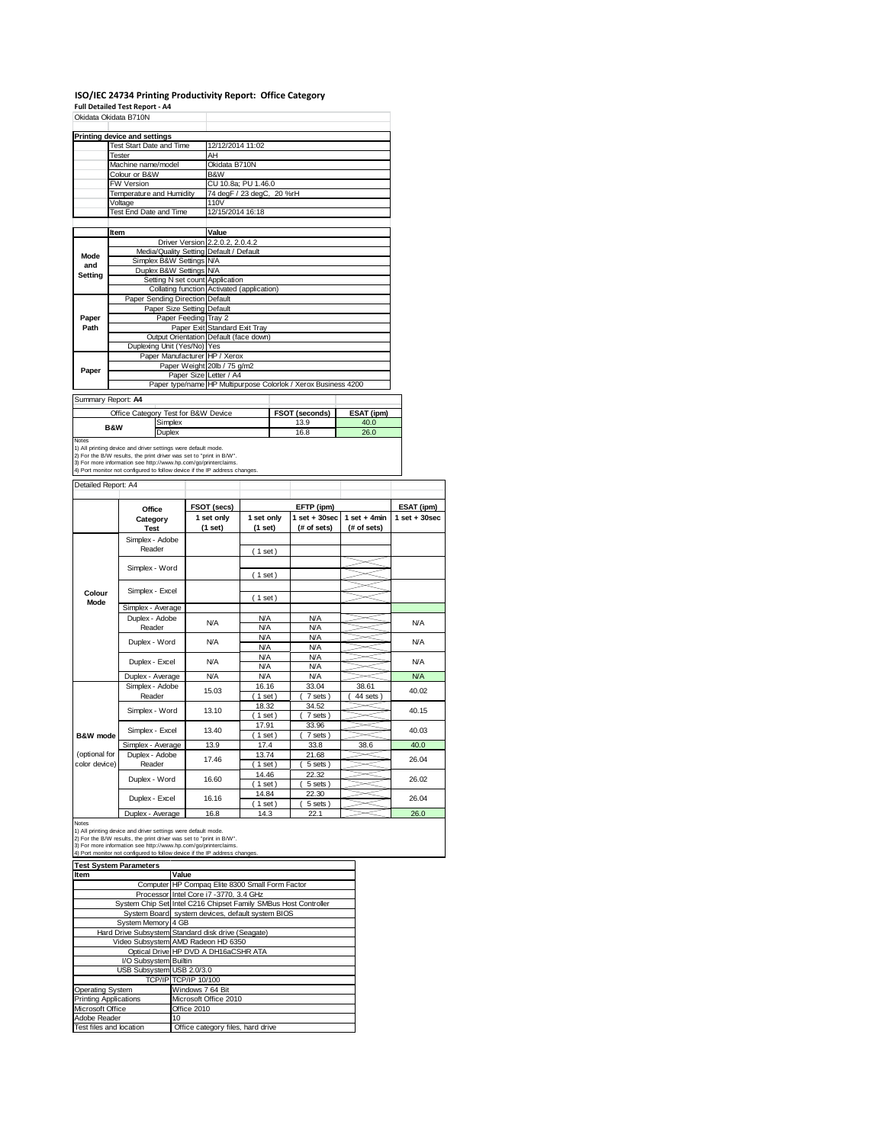## **ISO/IEC 24734 Printing Productivity Report: Office Category**

**Full Detailed Test Report ‐ A4**

|                     | <b>Full Detailed Test Report - A4</b>                                                                                                |                                            |                        |  |                  |                |                   |  |  |  |
|---------------------|--------------------------------------------------------------------------------------------------------------------------------------|--------------------------------------------|------------------------|--|------------------|----------------|-------------------|--|--|--|
|                     | Okidata Okidata B710N                                                                                                                |                                            |                        |  |                  |                |                   |  |  |  |
|                     |                                                                                                                                      |                                            |                        |  |                  |                |                   |  |  |  |
|                     | <b>Printing device and settings</b>                                                                                                  |                                            |                        |  |                  |                |                   |  |  |  |
|                     | Test Start Date and Time<br>Tester                                                                                                   |                                            | 12/12/2014 11:02<br>AH |  |                  |                |                   |  |  |  |
|                     | Machine name/model                                                                                                                   | Okidata B710N                              |                        |  |                  |                |                   |  |  |  |
|                     | Colour or B&W                                                                                                                        | B&W                                        |                        |  |                  |                |                   |  |  |  |
|                     | FW Version                                                                                                                           | CU 10.8a; PU 1.46.0                        |                        |  |                  |                |                   |  |  |  |
|                     | Temperature and Humidity                                                                                                             | 74 degF / 23 degC, 20 %rH                  |                        |  |                  |                |                   |  |  |  |
|                     | Voltage                                                                                                                              | 110V                                       |                        |  |                  |                |                   |  |  |  |
|                     | Test End Date and Time                                                                                                               |                                            | 12/15/2014 16:18       |  |                  |                |                   |  |  |  |
|                     |                                                                                                                                      |                                            |                        |  |                  |                |                   |  |  |  |
|                     | Item                                                                                                                                 | Value                                      |                        |  |                  |                |                   |  |  |  |
|                     |                                                                                                                                      | Driver Version 2.2.0.2, 2.0.4.2            |                        |  |                  |                |                   |  |  |  |
|                     |                                                                                                                                      | Media/Quality Setting Default / Default    |                        |  |                  |                |                   |  |  |  |
| Mode                | Simplex B&W Settings N/A                                                                                                             |                                            |                        |  |                  |                |                   |  |  |  |
| and                 | Duplex B&W Settings N/A                                                                                                              |                                            |                        |  |                  |                |                   |  |  |  |
| Setting             |                                                                                                                                      | Setting N set count Application            |                        |  |                  |                |                   |  |  |  |
|                     |                                                                                                                                      | Collating function Activated (application) |                        |  |                  |                |                   |  |  |  |
|                     | Paper Sending Direction Default                                                                                                      |                                            |                        |  |                  |                |                   |  |  |  |
|                     |                                                                                                                                      | Paper Size Setting Default                 |                        |  |                  |                |                   |  |  |  |
| Paper               |                                                                                                                                      | Paper Feeding Tray 2                       |                        |  |                  |                |                   |  |  |  |
| Path                |                                                                                                                                      | Paper Exit Standard Exit Tray              |                        |  |                  |                |                   |  |  |  |
|                     |                                                                                                                                      | Output Orientation Default (face down)     |                        |  |                  |                |                   |  |  |  |
|                     | Duplexing Unit (Yes/No) Yes                                                                                                          |                                            |                        |  |                  |                |                   |  |  |  |
|                     |                                                                                                                                      | Paper Manufacturer HP / Xerox              |                        |  |                  |                |                   |  |  |  |
| Paper               |                                                                                                                                      | Paper Weight 20lb / 75 g/m2                |                        |  |                  |                |                   |  |  |  |
|                     | Paper Size Letter / A4<br>Paper type/name HP Multipurpose Colorlok / Xerox Business 4200                                             |                                            |                        |  |                  |                |                   |  |  |  |
|                     |                                                                                                                                      |                                            |                        |  |                  |                |                   |  |  |  |
|                     | Summary Report: A4                                                                                                                   |                                            |                        |  |                  |                |                   |  |  |  |
|                     | Office Category Test for B&W Device                                                                                                  |                                            |                        |  | FSOT (seconds)   | ESAT (ipm)     |                   |  |  |  |
|                     | Simplex                                                                                                                              |                                            |                        |  | 13.9             | 40.0           |                   |  |  |  |
|                     | <b>B&amp;W</b><br>Duplex                                                                                                             |                                            |                        |  | 16.8             | 26.0           |                   |  |  |  |
| <b>Notes</b>        |                                                                                                                                      |                                            |                        |  |                  |                |                   |  |  |  |
|                     | 1) All printing device and driver settings were default mode.<br>2) For the B/W results, the print driver was set to "print in B/W". |                                            |                        |  |                  |                |                   |  |  |  |
|                     | 3) For more information see http://www.hp.com/go/printerclaims.                                                                      |                                            |                        |  |                  |                |                   |  |  |  |
|                     | 4) Port monitor not configured to follow device if the IP address changes.                                                           |                                            |                        |  |                  |                |                   |  |  |  |
|                     |                                                                                                                                      |                                            |                        |  |                  |                |                   |  |  |  |
| Detailed Report: A4 |                                                                                                                                      |                                            |                        |  |                  |                |                   |  |  |  |
|                     |                                                                                                                                      |                                            |                        |  |                  |                |                   |  |  |  |
|                     | Office                                                                                                                               | FSOT (secs)                                |                        |  | EFTP (ipm)       |                | ESAT (ipm)        |  |  |  |
|                     | Category                                                                                                                             | 1 set only                                 | 1 set only             |  | $1 set + 30 sec$ | $1$ set + 4min | $1$ set $+30$ sec |  |  |  |
|                     | Test                                                                                                                                 | (1 set)                                    | (1 set)                |  | (# of sets)      | (# of sets)    |                   |  |  |  |
|                     | Simplex - Adobe                                                                                                                      |                                            |                        |  |                  |                |                   |  |  |  |
|                     | Reader                                                                                                                               |                                            | (1 set)                |  |                  |                |                   |  |  |  |
|                     |                                                                                                                                      |                                            |                        |  |                  |                |                   |  |  |  |
|                     | Simplex - Word                                                                                                                       |                                            | (1 set)                |  |                  |                |                   |  |  |  |
|                     |                                                                                                                                      |                                            |                        |  |                  |                |                   |  |  |  |
| Colour              | Simplex - Excel                                                                                                                      |                                            |                        |  |                  |                |                   |  |  |  |
| Mode                |                                                                                                                                      |                                            | (1 set)                |  |                  |                |                   |  |  |  |
|                     | Simplex - Average                                                                                                                    |                                            |                        |  |                  |                |                   |  |  |  |
|                     | Duplex - Adobe                                                                                                                       | <b>N/A</b>                                 | <b>N/A</b>             |  | N/A              |                | <b>N/A</b>        |  |  |  |
|                     | Reader                                                                                                                               |                                            | <b>N/A</b>             |  | <b>N/A</b>       |                |                   |  |  |  |
|                     | Duplex - Word                                                                                                                        | N/A                                        | <b>N/A</b>             |  | <b>N/A</b>       |                | <b>N/A</b>        |  |  |  |
|                     |                                                                                                                                      |                                            | <b>N/A</b>             |  | <b>N/A</b>       |                |                   |  |  |  |
|                     | Dunlex - Excel                                                                                                                       | N/A                                        | <b>N/A</b>             |  | <b>N/A</b>       |                | N/A               |  |  |  |

N/A N/A Duplex - Average N/A N/A N/A N/A 16.16 33.04<br>(1 set) (7 sets)

18.32 34.52<br>
(1 set) (7 sets<br>
17.91 33.96  $(7 sets)$ 

17.91 33.96<br>(1 set) (7 sets) 1 set ) ( 7 sets )<br>17.4 33.8 Simplex - Average 13.9 17.4 33.8 38.6 40.0<br>Duplex - Adobe 17.4 13.74 21.68 38.6 26.04

( 1 set ) ( 7 sets ) ( 44 sets )<br>18.32 34.52

⋝  $\gt$ 

⋚

21.68 (1 set) (5 sets)<br>14.46 22.32 (1 set) (5 sets)<br>14.84 22.30 ( 1 set ) ( 5 sets ) Duplex - Average 16.8 14.3 22.1 26.0

26.02 26.04

26.04

N/A

40.02 40.15 40.03

**B&W mode** (optional for color device)

Notes<br>1) All printing device and driver settings were default mode.<br>2) For the B/W results, the print driver was set to "print in B/W".<br>3) For more information see http://www.hp.com/go/printerclaims.<br>4) Port monitor not co

Duplex - Adobe Reader Duplex - Word Duplex - Excel

Simplex - Excel 13.40

Simplex - Adobe Reader Simplex - Word 13.10

**Item Value** Computer HP Compaq Elite 8300 Small Form Factor Processor Intel Core i7 -3770, 3.4 GHz<br>System Chip Set Intel C216 Chipset Family SMBus Host Controller System Board system devices, default system BIOS System Memory 4 GB Hard Drive Subsystem Standard disk drive (Seagate) Video Subsystem AMD Radeon HD 6350 Optical Drive HP DVD A DH16aCSHR ATA I/O Subsystem Builtin USB Subsystem USB 2.0/3.0 TCP/IP TCP/IP 10/100 Operating System Windows 7 64 Bit Printing Applications Microsoft Office 2010<br>Microsoft Office Office 2010 Microsoft Office Adobe Reader 10 Test files and location Office category files, hard drive **Test System Parameters**

16.16

16.60 17.46

15.03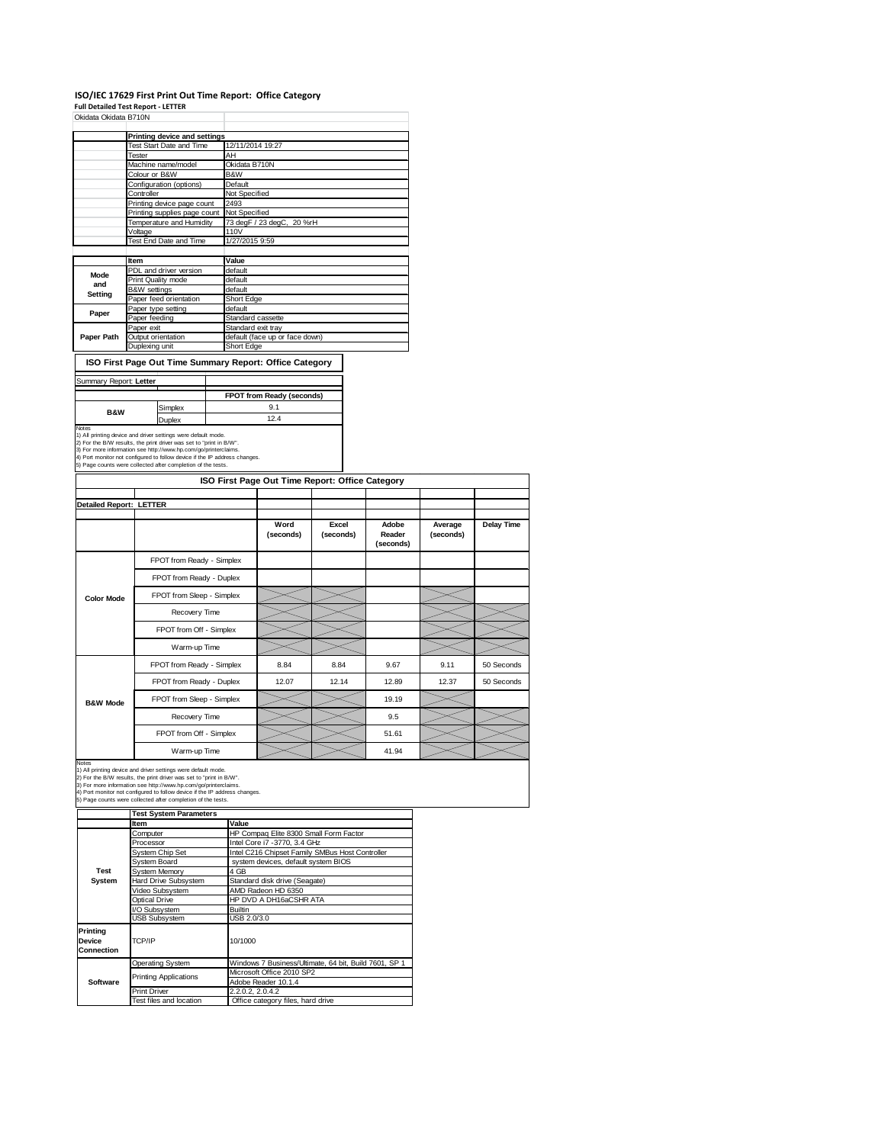## **ISO/IEC 17629 First Print Out Time Report: Office Category**

| <b>Full Detailed Test Report - LETTER</b>                                                                                                                                                                                                                                                                                                                      |                                    |                                                                 |  |                    |                                                         |           |  |                     |           |  |  |
|----------------------------------------------------------------------------------------------------------------------------------------------------------------------------------------------------------------------------------------------------------------------------------------------------------------------------------------------------------------|------------------------------------|-----------------------------------------------------------------|--|--------------------|---------------------------------------------------------|-----------|--|---------------------|-----------|--|--|
| Okidata Okidata B710N                                                                                                                                                                                                                                                                                                                                          |                                    |                                                                 |  |                    |                                                         |           |  |                     |           |  |  |
|                                                                                                                                                                                                                                                                                                                                                                |                                    |                                                                 |  |                    |                                                         |           |  |                     |           |  |  |
|                                                                                                                                                                                                                                                                                                                                                                |                                    | <b>Printing device and settings</b><br>Test Start Date and Time |  | 12/11/2014 19:27   |                                                         |           |  |                     |           |  |  |
|                                                                                                                                                                                                                                                                                                                                                                | Tester                             |                                                                 |  |                    | AH                                                      |           |  |                     |           |  |  |
|                                                                                                                                                                                                                                                                                                                                                                | Machine name/model                 |                                                                 |  | Okidata B710N      |                                                         |           |  |                     |           |  |  |
|                                                                                                                                                                                                                                                                                                                                                                | Colour or B&W<br>B&W               |                                                                 |  |                    |                                                         |           |  |                     |           |  |  |
|                                                                                                                                                                                                                                                                                                                                                                | Default<br>Configuration (options) |                                                                 |  |                    |                                                         |           |  |                     |           |  |  |
|                                                                                                                                                                                                                                                                                                                                                                | Controller<br>Not Specified        |                                                                 |  |                    |                                                         |           |  |                     |           |  |  |
|                                                                                                                                                                                                                                                                                                                                                                | Printing device page count<br>2493 |                                                                 |  |                    |                                                         |           |  |                     |           |  |  |
|                                                                                                                                                                                                                                                                                                                                                                |                                    | Printing supplies page count                                    |  | Not Specified      |                                                         |           |  |                     |           |  |  |
|                                                                                                                                                                                                                                                                                                                                                                | Voltage                            | Temperature and Humidity                                        |  | 110V               | 73 degF / 23 degC, 20 %rH                               |           |  |                     |           |  |  |
|                                                                                                                                                                                                                                                                                                                                                                |                                    | Test End Date and Time                                          |  | 1/27/2015 9:59     |                                                         |           |  |                     |           |  |  |
|                                                                                                                                                                                                                                                                                                                                                                |                                    |                                                                 |  |                    |                                                         |           |  |                     |           |  |  |
|                                                                                                                                                                                                                                                                                                                                                                | Item                               |                                                                 |  | Value              |                                                         |           |  |                     |           |  |  |
| Mode                                                                                                                                                                                                                                                                                                                                                           |                                    | PDL and driver version                                          |  | default            |                                                         |           |  |                     |           |  |  |
| and                                                                                                                                                                                                                                                                                                                                                            |                                    | Print Quality mode                                              |  | default<br>default |                                                         |           |  |                     |           |  |  |
| Setting                                                                                                                                                                                                                                                                                                                                                        | <b>B&amp;W</b> settings            | Paper feed orientation                                          |  | <b>Short Edge</b>  |                                                         |           |  |                     |           |  |  |
|                                                                                                                                                                                                                                                                                                                                                                |                                    | Paper type setting                                              |  | default            |                                                         |           |  |                     |           |  |  |
| Paper                                                                                                                                                                                                                                                                                                                                                          | Paper feeding                      |                                                                 |  | Standard cassette  |                                                         |           |  |                     |           |  |  |
|                                                                                                                                                                                                                                                                                                                                                                | Paper exit                         |                                                                 |  | Standard exit tray |                                                         |           |  |                     |           |  |  |
| Paper Path                                                                                                                                                                                                                                                                                                                                                     |                                    | Output orientation                                              |  |                    | default (face up or face down)                          |           |  |                     |           |  |  |
|                                                                                                                                                                                                                                                                                                                                                                | Duplexing unit                     |                                                                 |  | Short Edge         |                                                         |           |  |                     |           |  |  |
|                                                                                                                                                                                                                                                                                                                                                                |                                    |                                                                 |  |                    | ISO First Page Out Time Summary Report: Office Category |           |  |                     |           |  |  |
| Summary Report: Letter                                                                                                                                                                                                                                                                                                                                         |                                    |                                                                 |  |                    |                                                         |           |  |                     |           |  |  |
|                                                                                                                                                                                                                                                                                                                                                                |                                    |                                                                 |  |                    | FPOT from Ready (seconds)                               |           |  |                     |           |  |  |
| <b>B&amp;W</b>                                                                                                                                                                                                                                                                                                                                                 |                                    | Simplex                                                         |  |                    | 9.1                                                     |           |  |                     |           |  |  |
|                                                                                                                                                                                                                                                                                                                                                                |                                    | Duplex                                                          |  |                    | 12.4                                                    |           |  |                     |           |  |  |
| Notes<br>1) All printing device and driver settings were default mode.<br>2) For the B/W results, the print driver was set to "print in B/W".<br>3) For more information see http://www.hp.com/go/printerclaims.<br>4) Port monitor not configured to follow device if the IP address changes.<br>5) Page counts were collected after completion of the tests. |                                    |                                                                 |  |                    |                                                         |           |  |                     |           |  |  |
|                                                                                                                                                                                                                                                                                                                                                                |                                    |                                                                 |  |                    | ISO First Page Out Time Report: Office Category         |           |  |                     |           |  |  |
|                                                                                                                                                                                                                                                                                                                                                                |                                    |                                                                 |  |                    |                                                         |           |  |                     |           |  |  |
| <b>Detailed Report: LETTER</b>                                                                                                                                                                                                                                                                                                                                 |                                    |                                                                 |  |                    |                                                         |           |  |                     |           |  |  |
|                                                                                                                                                                                                                                                                                                                                                                |                                    |                                                                 |  |                    | Word                                                    | Excel     |  | Adobe               | Average   |  |  |
|                                                                                                                                                                                                                                                                                                                                                                |                                    |                                                                 |  |                    | (seconds)                                               | (seconds) |  | Reader<br>(seconds) | (seconds) |  |  |
|                                                                                                                                                                                                                                                                                                                                                                |                                    | FPOT from Ready - Simplex                                       |  |                    |                                                         |           |  |                     |           |  |  |
|                                                                                                                                                                                                                                                                                                                                                                |                                    | FPOT from Ready - Duplex                                        |  |                    |                                                         |           |  |                     |           |  |  |
| <b>Color Mode</b>                                                                                                                                                                                                                                                                                                                                              |                                    | FPOT from Sleep - Simplex                                       |  |                    |                                                         |           |  |                     |           |  |  |
|                                                                                                                                                                                                                                                                                                                                                                |                                    | Recovery Time                                                   |  |                    |                                                         |           |  |                     |           |  |  |
|                                                                                                                                                                                                                                                                                                                                                                |                                    | FPOT from Off - Simplex                                         |  |                    |                                                         |           |  |                     |           |  |  |
|                                                                                                                                                                                                                                                                                                                                                                |                                    | Warm-up Time                                                    |  |                    |                                                         |           |  |                     |           |  |  |
|                                                                                                                                                                                                                                                                                                                                                                |                                    | FPOT from Ready - Simplex                                       |  |                    | 8.84                                                    | 8.84      |  | 9.67                | 9.11      |  |  |

FPOT from Ready - Duplex 12.07 12.14 12.89 12.37 50 Seconds

FPOT from Sleep - Simplex 19.19

**Delay Time**

50 Seconds

 $\prec$ 

╱

 $\overline{\vphantom{1}}$  $\mathrel{{\mathop{\hbox{--}}\nolimits}}$ 

╱

 $\prec$ 

Recovery Time 9.5 FPOT from Off - Simplex  $51.61$ 

**B&W Mode**

Warm-up Time 341.94

Notes<br>1) All printing device and driver settings were default mode.<br>2) For the B/W results, the print drive was set to "print in B/W".<br>3) For more information see http://www.hp.com/go/printencialms.<br>4) Port monitor not con

Ī

| <b>Test System Parameters</b> |  |
|-------------------------------|--|
|-------------------------------|--|

| Item                                                               | Value                                                 |  |  |  |  |
|--------------------------------------------------------------------|-------------------------------------------------------|--|--|--|--|
| Computer                                                           | HP Compaq Elite 8300 Small Form Factor                |  |  |  |  |
| Processor                                                          | Intel Core i7 -3770, 3.4 GHz                          |  |  |  |  |
| Intel C216 Chipset Family SMBus Host Controller<br>System Chip Set |                                                       |  |  |  |  |
| System Board                                                       | system devices, default system BIOS                   |  |  |  |  |
| <b>System Memory</b>                                               | 4 GB                                                  |  |  |  |  |
| Hard Drive Subsystem                                               | Standard disk drive (Seagate)                         |  |  |  |  |
| Video Subsystem                                                    | AMD Radeon HD 6350                                    |  |  |  |  |
| Optical Drive                                                      | HP DVD A DH16aCSHR ATA                                |  |  |  |  |
| I/O Subsystem                                                      | <b>Builtin</b>                                        |  |  |  |  |
| <b>USB Subsystem</b>                                               | USB 2.0/3.0                                           |  |  |  |  |
| TCP/IP                                                             | 10/1000                                               |  |  |  |  |
| <b>Operating System</b>                                            | Windows 7 Business/Ultimate, 64 bit, Build 7601, SP 1 |  |  |  |  |
|                                                                    | Microsoft Office 2010 SP2                             |  |  |  |  |
|                                                                    | Adobe Reader 10.1.4                                   |  |  |  |  |
| <b>Print Driver</b>                                                | 2.2.0.2. 2.0.4.2                                      |  |  |  |  |
| Test files and location                                            | Office category files, hard drive                     |  |  |  |  |
|                                                                    | <b>Printing Applications</b>                          |  |  |  |  |